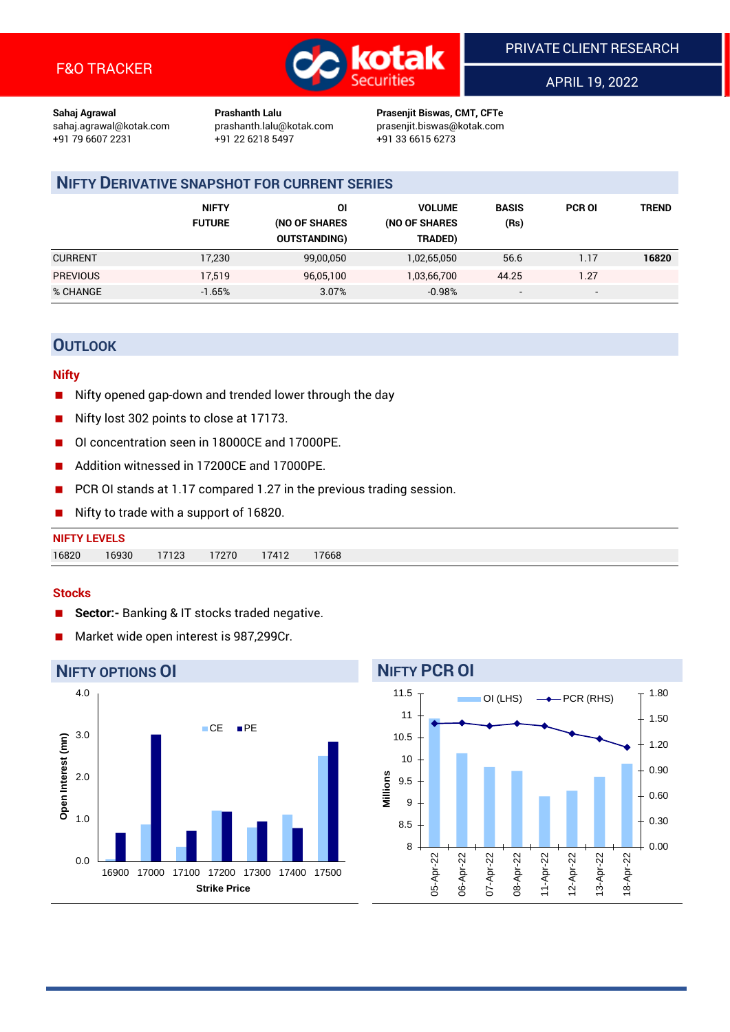

APRIL 19, 2022

**Sahaj Agrawal Prashanth Lalu Prasenjit Biswas, CMT, CFTe** +91 22 6218 5497 +91 33 6615 6273

sahaj.agrawal@kotak.com [prashanth.lalu@kotak.com](mailto:prashanth.lalu@kotak.com) prasenjit.biswas@kotak.com

# **NIFTY DERIVATIVE SNAPSHOT FOR CURRENT SERIES**

|                 | <b>NIFTY</b><br><b>FUTURE</b> | ΟI<br>(NO OF SHARES<br><b>OUTSTANDING)</b> | <b>VOLUME</b><br>(NO OF SHARES<br>TRADED) | <b>BASIS</b><br>(Rs)     | <b>PCR OI</b> | TREND |
|-----------------|-------------------------------|--------------------------------------------|-------------------------------------------|--------------------------|---------------|-------|
| <b>CURRENT</b>  | 17,230                        | 99,00,050                                  | 1,02,65,050                               | 56.6                     | 1.17          | 16820 |
| <b>PREVIOUS</b> | 17.519                        | 96,05,100                                  | 1,03,66,700                               | 44.25                    | 1.27          |       |
| % CHANGE        | $-1.65%$                      | 3.07%                                      | $-0.98%$                                  | $\overline{\phantom{a}}$ | -             |       |

# **OUTLOOK**

### **Nifty**

- Nifty opened gap-down and trended lower through the day
- Nifty lost 302 points to close at 17173.
- OI concentration seen in 18000CE and 17000PE.
- Addition witnessed in 17200CE and 17000PE.
- PCR OI stands at 1.17 compared 1.27 in the previous trading session.
- Nifty to trade with a support of 16820.

| <b>NIFTY LEVELS</b> |       |       |       |       |       |
|---------------------|-------|-------|-------|-------|-------|
| 16820               | 16930 | 17123 | 17270 | 17412 | 17668 |

### **Stocks**

- **Sector:-** Banking & IT stocks traded negative.
- Market wide open interest is 987,299Cr.



# **NIFTY PCR OI**

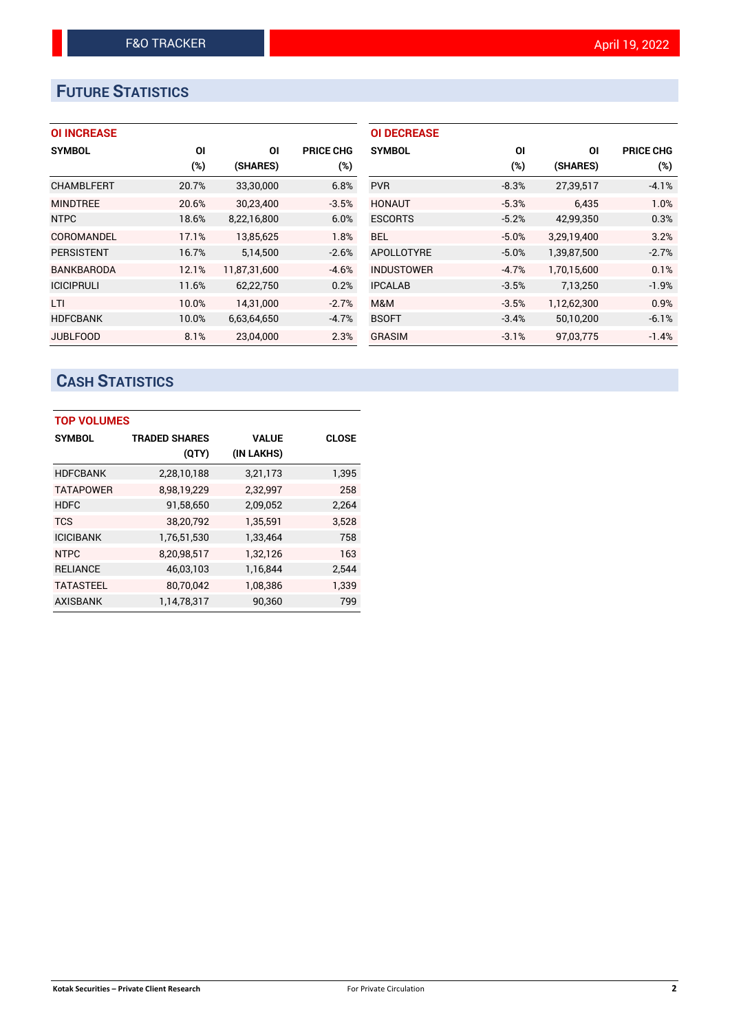# **FUTURE STATISTICS**

## **OI INCREASE**

| <b>SYMBOL</b>     | ΟI    | ΟI           | <b>PRICE CHG</b> |
|-------------------|-------|--------------|------------------|
|                   | (%)   | (SHARES)     | (%)              |
| <b>CHAMBLFERT</b> | 20.7% | 33,30,000    | 6.8%             |
| <b>MINDTREE</b>   | 20.6% | 30,23,400    | $-3.5%$          |
| <b>NTPC</b>       | 18.6% | 8,22,16,800  | 6.0%             |
| COROMANDEL        | 17.1% | 13,85,625    | 1.8%             |
| <b>PERSISTENT</b> | 16.7% | 5,14,500     | $-2.6%$          |
| <b>BANKBARODA</b> | 12.1% | 11,87,31,600 | $-4.6%$          |
| <b>ICICIPRULI</b> | 11.6% | 62,22,750    | 0.2%             |
| LTI               | 10.0% | 14,31,000    | $-2.7%$          |
| <b>HDFCBANK</b>   | 10.0% | 6,63,64,650  | $-4.7%$          |
| <b>JUBLFOOD</b>   | 8.1%  | 23.04.000    | 2.3%             |

| <b>OI DECREASE</b> |         |             |                  |
|--------------------|---------|-------------|------------------|
| <b>SYMBOL</b>      | ΟI      | ΟI          | <b>PRICE CHG</b> |
|                    | (%)     | (SHARES)    | $(\%)$           |
| <b>PVR</b>         | $-8.3%$ | 27,39,517   | $-4.1%$          |
| <b>HONAUT</b>      | $-5.3%$ | 6.435       | 1.0%             |
| <b>ESCORTS</b>     | $-5.2%$ | 42,99,350   | 0.3%             |
| BEL                | $-5.0%$ | 3.29.19.400 | 3.2%             |
| APOLLOTYRE         | $-5.0%$ | 1,39,87,500 | $-2.7%$          |
| <b>INDUSTOWER</b>  | $-4.7%$ | 1,70,15,600 | 0.1%             |
| <b>IPCALAB</b>     | $-3.5%$ | 7,13,250    | $-1.9%$          |
| M&M                | $-3.5%$ | 1,12,62,300 | 0.9%             |
| <b>BSOFT</b>       | $-3.4%$ | 50,10,200   | $-6.1%$          |
| GRASIM             | $-3.1%$ | 97.03.775   | $-1.4%$          |

# **CASH STATISTICS**

| <b>TOP VOLUMES</b> |                      |              |              |  |  |  |  |
|--------------------|----------------------|--------------|--------------|--|--|--|--|
| <b>SYMBOL</b>      | <b>TRADED SHARES</b> | <b>VALUE</b> | <b>CLOSE</b> |  |  |  |  |
|                    | (QTY)                | (IN LAKHS)   |              |  |  |  |  |
| <b>HDFCBANK</b>    | 2,28,10,188          | 3,21,173     | 1,395        |  |  |  |  |
| <b>TATAPOWER</b>   | 8,98,19,229          | 2,32,997     | 258          |  |  |  |  |
| <b>HDFC</b>        | 91,58,650            | 2,09,052     | 2,264        |  |  |  |  |
| <b>TCS</b>         | 38,20,792            | 1,35,591     | 3,528        |  |  |  |  |
| <b>ICICIBANK</b>   | 1,76,51,530          | 1,33,464     | 758          |  |  |  |  |
| <b>NTPC</b>        | 8,20,98,517          | 1,32,126     | 163          |  |  |  |  |
| <b>RELIANCE</b>    | 46,03,103            | 1,16,844     | 2,544        |  |  |  |  |
| <b>TATASTEEL</b>   | 80,70,042            | 1,08,386     | 1,339        |  |  |  |  |
| <b>AXISBANK</b>    | 1,14,78,317          | 90,360       | 799          |  |  |  |  |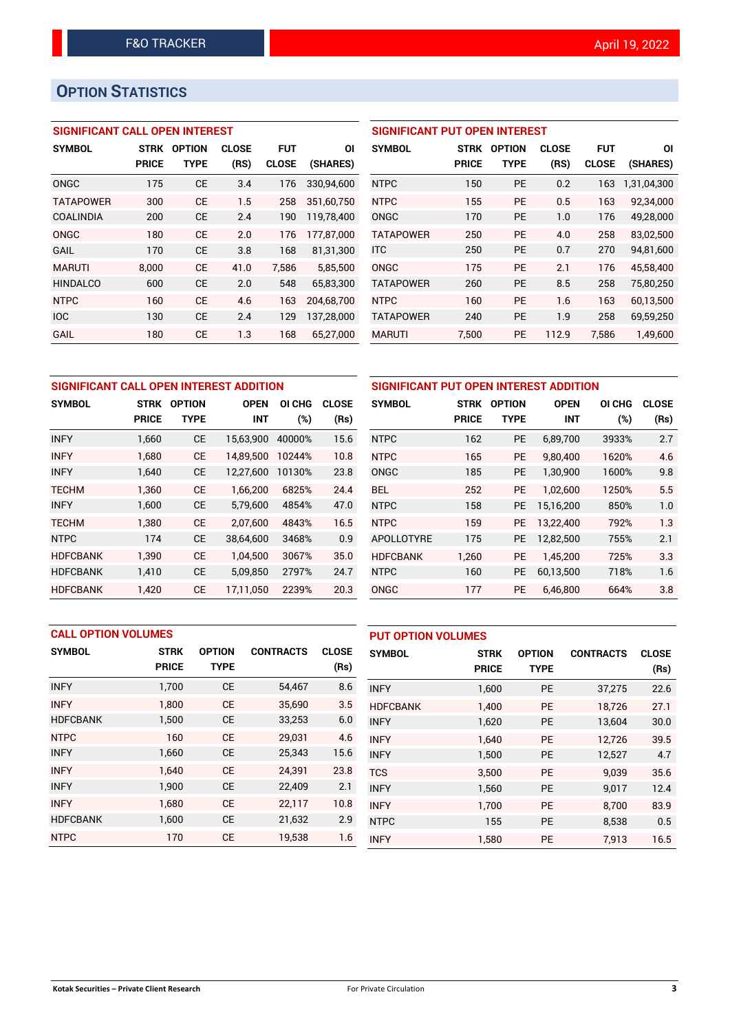# **OPTION STATISTICS**

## **SIGNIFICANT CALL OPEN INTEREST**

| <b>SYMBOL</b>    | <b>STRK</b>  | <b>OPTION</b> | <b>CLOSE</b> | <b>FUT</b>   | ΟI         |
|------------------|--------------|---------------|--------------|--------------|------------|
|                  | <b>PRICE</b> | TYPE          | (RS)         | <b>CLOSE</b> | (SHARES)   |
| ONGC             | 175          | <b>CE</b>     | 3.4          | 176          | 330.94.600 |
| <b>TATAPOWER</b> | 300          | CE            | 1.5          | 258          | 351,60,750 |
| COALINDIA        | 200          | <b>CE</b>     | 2.4          | 190          | 119,78,400 |
| ONGC             | 180          | CE            | 2.0          | 176          | 177,87,000 |
| GAIL             | 170          | CE            | 3.8          | 168          | 81,31,300  |
| <b>MARUTI</b>    | 8,000        | CE            | 41.0         | 7,586        | 5,85,500   |
| <b>HINDALCO</b>  | 600          | CE            | 2.0          | 548          | 65,83,300  |
| <b>NTPC</b>      | 160          | CE            | 4.6          | 163          | 204.68.700 |
| <b>IOC</b>       | 130          | CE            | 2.4          | 129          | 137,28,000 |
| GAIL             | 180          | CE            | 1.3          | 168          | 65,27,000  |

## **SIGNIFICANT PUT OPEN INTEREST**

| <b>SYMBOL</b>    | <b>STRK</b><br><b>PRICE</b> | <b>OPTION</b><br>TYPE | <b>CLOSE</b><br>(RS) | <b>FUT</b><br><b>CLOSE</b> | ΟI<br>(SHARES) |
|------------------|-----------------------------|-----------------------|----------------------|----------------------------|----------------|
| <b>NTPC</b>      | 150                         | PF                    | 0.2                  | 163                        | 1,31,04,300    |
| <b>NTPC</b>      | 155                         | <b>PE</b>             | 0.5                  | 163                        | 92,34,000      |
| ONGC             | 170                         | <b>PE</b>             | 1.0                  | 176                        | 49,28,000      |
| <b>TATAPOWER</b> | 250                         | PF                    | 4.0                  | 258                        | 83,02,500      |
| <b>ITC</b>       | 250                         | <b>PE</b>             | 0.7                  | 270                        | 94,81,600      |
| ONGC             | 175                         | PF                    | 2.1                  | 176                        | 45,58,400      |
| <b>TATAPOWER</b> | 260                         | <b>PE</b>             | 8.5                  | 258                        | 75,80,250      |
| <b>NTPC</b>      | 160                         | <b>PE</b>             | 1.6                  | 163                        | 60,13,500      |
| <b>TATAPOWER</b> | 240                         | <b>PE</b>             | 1.9                  | 258                        | 69,59,250      |
| <b>MARUTI</b>    | 7,500                       | <b>PE</b>             | 112.9                | 7,586                      | 1,49,600       |

| SIGNIFICANT CALL OPEN INTEREST ADDITION |              |               |             |        |              |                 |  |  |  |
|-----------------------------------------|--------------|---------------|-------------|--------|--------------|-----------------|--|--|--|
| <b>SYMBOL</b>                           | <b>STRK</b>  | <b>OPTION</b> | <b>OPEN</b> | OI CHG | <b>CLOSE</b> | <b>SYMBOL</b>   |  |  |  |
|                                         | <b>PRICE</b> | TYPE          | <b>INT</b>  | (%)    | (Rs)         |                 |  |  |  |
| <b>INFY</b>                             | 1,660        | <b>CE</b>     | 15,63,900   | 40000% | 15.6         | <b>NTPC</b>     |  |  |  |
| <b>INFY</b>                             | 1,680        | <b>CE</b>     | 14,89,500   | 10244% | 10.8         | <b>NTPC</b>     |  |  |  |
| <b>INFY</b>                             | 1,640        | <b>CE</b>     | 12,27,600   | 10130% | 23.8         | <b>ONGC</b>     |  |  |  |
| <b>TECHM</b>                            | 1,360        | <b>CE</b>     | 1.66.200    | 6825%  | 24.4         | <b>BEL</b>      |  |  |  |
| <b>INFY</b>                             | 1,600        | <b>CE</b>     | 5,79,600    | 4854%  | 47.0         | <b>NTPC</b>     |  |  |  |
| <b>TECHM</b>                            | 1,380        | <b>CE</b>     | 2,07,600    | 4843%  | 16.5         | <b>NTPC</b>     |  |  |  |
| <b>NTPC</b>                             | 174          | <b>CE</b>     | 38,64,600   | 3468%  | 0.9          | APOLLOTY        |  |  |  |
| <b>HDFCBANK</b>                         | 1,390        | <b>CE</b>     | 1,04,500    | 3067%  | 35.0         | <b>HDFCBANK</b> |  |  |  |
| <b>HDFCBANK</b>                         | 1,410        | <b>CE</b>     | 5,09,850    | 2797%  | 24.7         | <b>NTPC</b>     |  |  |  |
| <b>HDFCBANK</b>                         | 1.420        | <b>CE</b>     | 17.11.050   | 2239%  | 20.3         | <b>ONGC</b>     |  |  |  |

| SIGNIFICANT PUT OPEN INTEREST ADDITION |              |               |             |        |              |  |  |  |  |
|----------------------------------------|--------------|---------------|-------------|--------|--------------|--|--|--|--|
| <b>SYMBOL</b>                          | <b>STRK</b>  | <b>OPTION</b> | <b>OPEN</b> | OI CHG | <b>CLOSE</b> |  |  |  |  |
|                                        | <b>PRICE</b> | <b>TYPE</b>   | <b>INT</b>  | (%)    | (Rs)         |  |  |  |  |
| <b>NTPC</b>                            | 162          | <b>PE</b>     | 6,89,700    | 3933%  | 2.7          |  |  |  |  |
| <b>NTPC</b>                            | 165          | <b>PE</b>     | 9,80,400    | 1620%  | 4.6          |  |  |  |  |
| <b>ONGC</b>                            | 185          | <b>PE</b>     | 1,30,900    | 1600%  | 9.8          |  |  |  |  |
| BEL                                    | 252          | <b>PE</b>     | 1,02,600    | 1250%  | 5.5          |  |  |  |  |
| <b>NTPC</b>                            | 158          | <b>PE</b>     | 15,16,200   | 850%   | 1.0          |  |  |  |  |
| <b>NTPC</b>                            | 159          | <b>PE</b>     | 13,22,400   | 792%   | 1.3          |  |  |  |  |
| APOLLOTYRE                             | 175          | <b>PE</b>     | 12,82,500   | 755%   | 2.1          |  |  |  |  |
| <b>HDFCBANK</b>                        | 1,260        | <b>PE</b>     | 1,45,200    | 725%   | 3.3          |  |  |  |  |
| <b>NTPC</b>                            | 160          | <b>PE</b>     | 60,13,500   | 718%   | 1.6          |  |  |  |  |
| ONGC                                   | 177          | <b>PE</b>     | 6,46,800    | 664%   | 3.8          |  |  |  |  |

|                 | <b>CALL OPTION VOLUMES</b> |               |                  |              |                 | <b>PUT OPTION VOLUMES</b> |               |                  |              |  |
|-----------------|----------------------------|---------------|------------------|--------------|-----------------|---------------------------|---------------|------------------|--------------|--|
| <b>SYMBOL</b>   | <b>STRK</b>                | <b>OPTION</b> | <b>CONTRACTS</b> | <b>CLOSE</b> | <b>SYMBOL</b>   | <b>STRK</b>               | <b>OPTION</b> | <b>CONTRACTS</b> | <b>CLOSE</b> |  |
|                 | <b>PRICE</b>               | <b>TYPE</b>   |                  | (Rs)         |                 | <b>PRICE</b>              | <b>TYPE</b>   |                  | (Rs)         |  |
| <b>INFY</b>     | 1,700                      | <b>CE</b>     | 54,467           | 8.6          | <b>INFY</b>     | 1,600                     | <b>PE</b>     | 37,275           | 22.6         |  |
| <b>INFY</b>     | 1.800                      | <b>CE</b>     | 35,690           | 3.5          | <b>HDFCBANK</b> | 1.400                     | <b>PE</b>     | 18.726           | 27.1         |  |
| <b>HDFCBANK</b> | 1,500                      | <b>CE</b>     | 33,253           | 6.0          | <b>INFY</b>     | 1,620                     | <b>PE</b>     | 13,604           | 30.0         |  |
| <b>NTPC</b>     | 160                        | <b>CE</b>     | 29,031           | 4.6          | <b>INFY</b>     | 1.640                     | <b>PE</b>     | 12,726           | 39.5         |  |
| <b>INFY</b>     | 1,660                      | <b>CE</b>     | 25,343           | 15.6         | <b>INFY</b>     | 1,500                     | <b>PE</b>     | 12,527           | 4.7          |  |
| <b>INFY</b>     | 1.640                      | <b>CE</b>     | 24,391           | 23.8         | <b>TCS</b>      | 3.500                     | <b>PE</b>     | 9.039            | 35.6         |  |
| <b>INFY</b>     | 1,900                      | <b>CE</b>     | 22,409           | 2.1          | <b>INFY</b>     | 1,560                     | <b>PE</b>     | 9,017            | 12.4         |  |
| <b>INFY</b>     | 1.680                      | <b>CE</b>     | 22,117           | 10.8         | <b>INFY</b>     | 1,700                     | <b>PE</b>     | 8.700            | 83.9         |  |
| <b>HDFCBANK</b> | 1,600                      | <b>CE</b>     | 21,632           | 2.9          | <b>NTPC</b>     | 155                       | <b>PE</b>     | 8,538            | 0.5          |  |
| <b>NTPC</b>     | 170                        | <b>CE</b>     | 19,538           | 1.6          | <b>INFY</b>     | 1,580                     | <b>PE</b>     | 7,913            | 16.5         |  |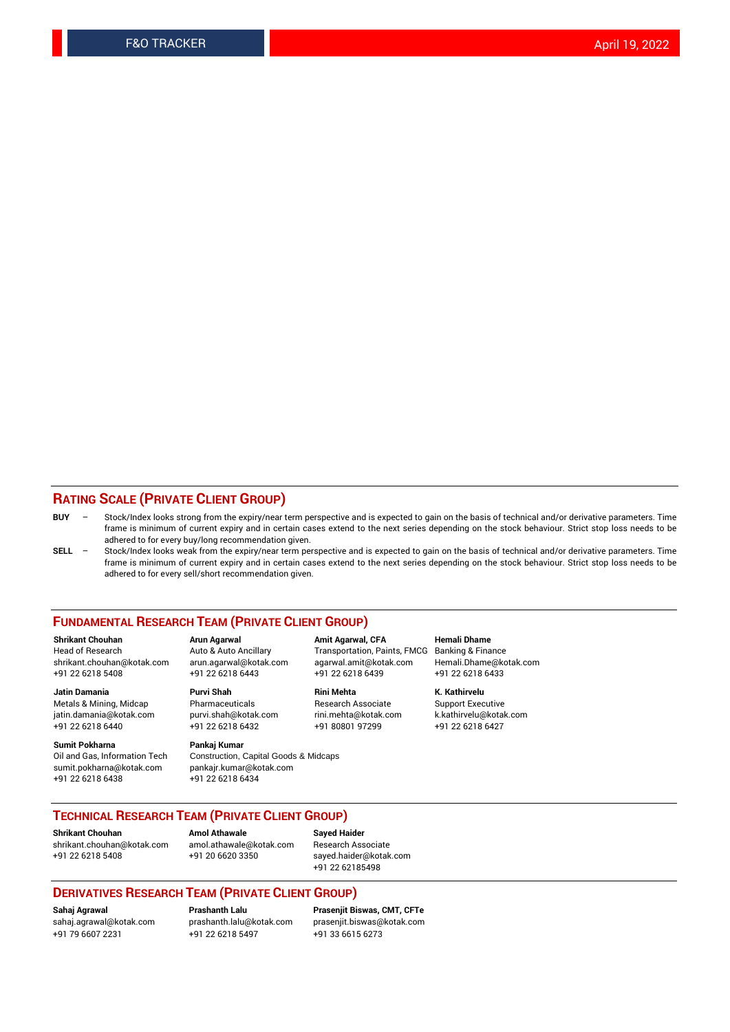### **RATING SCALE (PRIVATE CLIENT GROUP)**

- **BUY**  Stock/Index looks strong from the expiry/near term perspective and is expected to gain on the basis of technical and/or derivative parameters. Time frame is minimum of current expiry and in certain cases extend to the next series depending on the stock behaviour. Strict stop loss needs to be adhered to for every buy/long recommendation given.
- **SELL** Stock/Index looks weak from the expiry/near term perspective and is expected to gain on the basis of technical and/or derivative parameters. Time frame is minimum of current expiry and in certain cases extend to the next series depending on the stock behaviour. Strict stop loss needs to be adhered to for every sell/short recommendation given.

#### **FUNDAMENTAL RESEARCH TEAM (PRIVATE CLIENT GROUP)**

**Shrikant Chouhan Arun Agarwal Amit Agarwal, CFA Hemali Dhame** shrikant.chouhan@kotak.com arun.agarwal@kotak.com agarwal.amit@kotak.com Hemali.Dhame@kotak.com +91 22 6218 5408 +91 22 6218 6443 +91 22 6218 6439 +91 22 6218 6433

Metals & Mining, Midcap Pharmaceuticals Pharmaceuticals Research Associate Support Executive<br>
iatin.damania@kotak.com purvi.shah@kotak.com rini.mehta@kotak.com k.kathirvelu@kotak.com jatin.damania@kotak.com

**Sumit Pokharna** Pankaj Kumar<br>Oil and Gas, Information Tech Construction, sumit.pokharna@kotak.com pankajr.kumar@kotak.com +91 22 6218 6438 +91 22 6218 6434

Construction, Capital Goods & Midcaps

Transportation, Paints, FMCG

**Jatin Damania Purvi Shah Rini Mehta K. Kathirvelu** +91 22 6218 6440 +91 22 6218 6432 +91 80801 97299 +91 22 6218 6427

## **TECHNICAL RESEARCH TEAM (PRIVATE CLIENT GROUP)**

**Shrikant Chouhan Amol Athawale Sayed Haider** [shrikant.chouhan@kotak.com](mailto:shrikant.chouhan@kotak.com) [amol.athawale@kotak.com](mailto:amol.athawale@kotak.com) Research Associate +91 22 6218 5408 +91 20 6620 3350 [sayed.haider@kotak.com](mailto:sayed.haider@kotak.com)

+91 22 62185498

#### **DERIVATIVES RESEARCH TEAM (PRIVATE CLIENT GROUP)**

+91 79 6607 2231 +91 22 6218 5497 +91 33 6615 6273

**Sahaj Agrawal Prashanth Lalu Prasenjit Biswas, CMT, CFTe** [prasenjit.biswas@kotak.com](mailto:prasenjit.biswas@kotak.com)